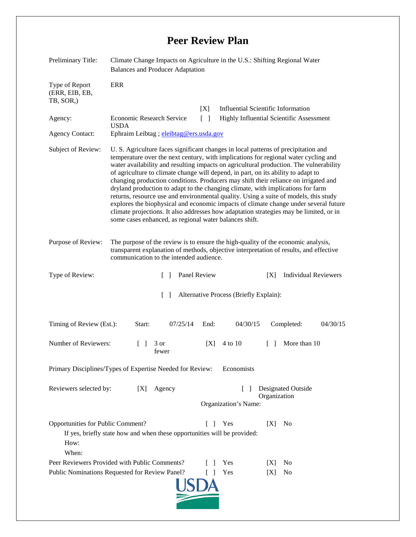## **Peer Review Plan**

| Preliminary Title:                                                                                                                                                       | Climate Change Impacts on Agriculture in the U.S.: Shifting Regional Water<br><b>Balances and Producer Adaptation</b>                                                                                                                                                                                                                                                                                                                                                                                                                                                                                                                                                                                                                                                                                                                                                  |                                                                        |                             |
|--------------------------------------------------------------------------------------------------------------------------------------------------------------------------|------------------------------------------------------------------------------------------------------------------------------------------------------------------------------------------------------------------------------------------------------------------------------------------------------------------------------------------------------------------------------------------------------------------------------------------------------------------------------------------------------------------------------------------------------------------------------------------------------------------------------------------------------------------------------------------------------------------------------------------------------------------------------------------------------------------------------------------------------------------------|------------------------------------------------------------------------|-----------------------------|
| Type of Report<br>(ERR, EIB, EB,<br>TB, SOR.)                                                                                                                            | <b>ERR</b>                                                                                                                                                                                                                                                                                                                                                                                                                                                                                                                                                                                                                                                                                                                                                                                                                                                             |                                                                        |                             |
|                                                                                                                                                                          |                                                                                                                                                                                                                                                                                                                                                                                                                                                                                                                                                                                                                                                                                                                                                                                                                                                                        | <b>Influential Scientific Information</b><br>[X]                       |                             |
| Agency:                                                                                                                                                                  | <b>Economic Research Service</b><br>$\lceil \rceil$<br>Highly Influential Scientific Assessment<br><b>USDA</b>                                                                                                                                                                                                                                                                                                                                                                                                                                                                                                                                                                                                                                                                                                                                                         |                                                                        |                             |
| <b>Agency Contact:</b>                                                                                                                                                   | Ephraim Leibtag ; eleibtag@ers.usda.gov                                                                                                                                                                                                                                                                                                                                                                                                                                                                                                                                                                                                                                                                                                                                                                                                                                |                                                                        |                             |
| Subject of Review:                                                                                                                                                       | U. S. Agriculture faces significant changes in local patterns of precipitation and<br>temperature over the next century, with implications for regional water cycling and<br>water availability and resulting impacts on agricultural production. The vulnerability<br>of agriculture to climate change will depend, in part, on its ability to adapt to<br>changing production conditions. Producers may shift their reliance on irrigated and<br>dryland production to adapt to the changing climate, with implications for farm<br>returns, resource use and environmental quality. Using a suite of models, this study<br>explores the biophysical and economic impacts of climate change under several future<br>climate projections. It also addresses how adaptation strategies may be limited, or in<br>some cases enhanced, as regional water balances shift. |                                                                        |                             |
| Purpose of Review:                                                                                                                                                       | The purpose of the review is to ensure the high-quality of the economic analysis,<br>transparent explanation of methods, objective interpretation of results, and effective<br>communication to the intended audience.                                                                                                                                                                                                                                                                                                                                                                                                                                                                                                                                                                                                                                                 |                                                                        |                             |
| Type of Review:                                                                                                                                                          | Panel Review<br>$\mathbb{R}^n$                                                                                                                                                                                                                                                                                                                                                                                                                                                                                                                                                                                                                                                                                                                                                                                                                                         | X                                                                      | <b>Individual Reviewers</b> |
| $\Box$<br>Alternative Process (Briefly Explain):                                                                                                                         |                                                                                                                                                                                                                                                                                                                                                                                                                                                                                                                                                                                                                                                                                                                                                                                                                                                                        |                                                                        |                             |
| Timing of Review (Est.):                                                                                                                                                 | 07/25/14<br>Start:                                                                                                                                                                                                                                                                                                                                                                                                                                                                                                                                                                                                                                                                                                                                                                                                                                                     | End:<br>04/30/15<br>Completed:                                         | 04/30/15                    |
| Number of Reviewers:                                                                                                                                                     | $\Box$<br>3 or<br>fewer                                                                                                                                                                                                                                                                                                                                                                                                                                                                                                                                                                                                                                                                                                                                                                                                                                                | [X]<br>4 to 10<br>$\Box$                                               | More than 10                |
| Primary Disciplines/Types of Expertise Needed for Review: Economists                                                                                                     |                                                                                                                                                                                                                                                                                                                                                                                                                                                                                                                                                                                                                                                                                                                                                                                                                                                                        |                                                                        |                             |
| Reviewers selected by:                                                                                                                                                   | Agency<br>[X]                                                                                                                                                                                                                                                                                                                                                                                                                                                                                                                                                                                                                                                                                                                                                                                                                                                          | <b>Designated Outside</b><br>L<br>Organization<br>Organization's Name: |                             |
| Opportunities for Public Comment?<br>Yes<br>[X]<br>N <sub>0</sub><br>$\Box$<br>If yes, briefly state how and when these opportunities will be provided:<br>How:<br>When: |                                                                                                                                                                                                                                                                                                                                                                                                                                                                                                                                                                                                                                                                                                                                                                                                                                                                        |                                                                        |                             |
|                                                                                                                                                                          | Peer Reviewers Provided with Public Comments?                                                                                                                                                                                                                                                                                                                                                                                                                                                                                                                                                                                                                                                                                                                                                                                                                          | Yes<br>IXI<br>N <sub>0</sub>                                           |                             |
| Public Nominations Requested for Review Panel?<br>Yes<br>No<br>[X]<br>$\Box$                                                                                             |                                                                                                                                                                                                                                                                                                                                                                                                                                                                                                                                                                                                                                                                                                                                                                                                                                                                        |                                                                        |                             |